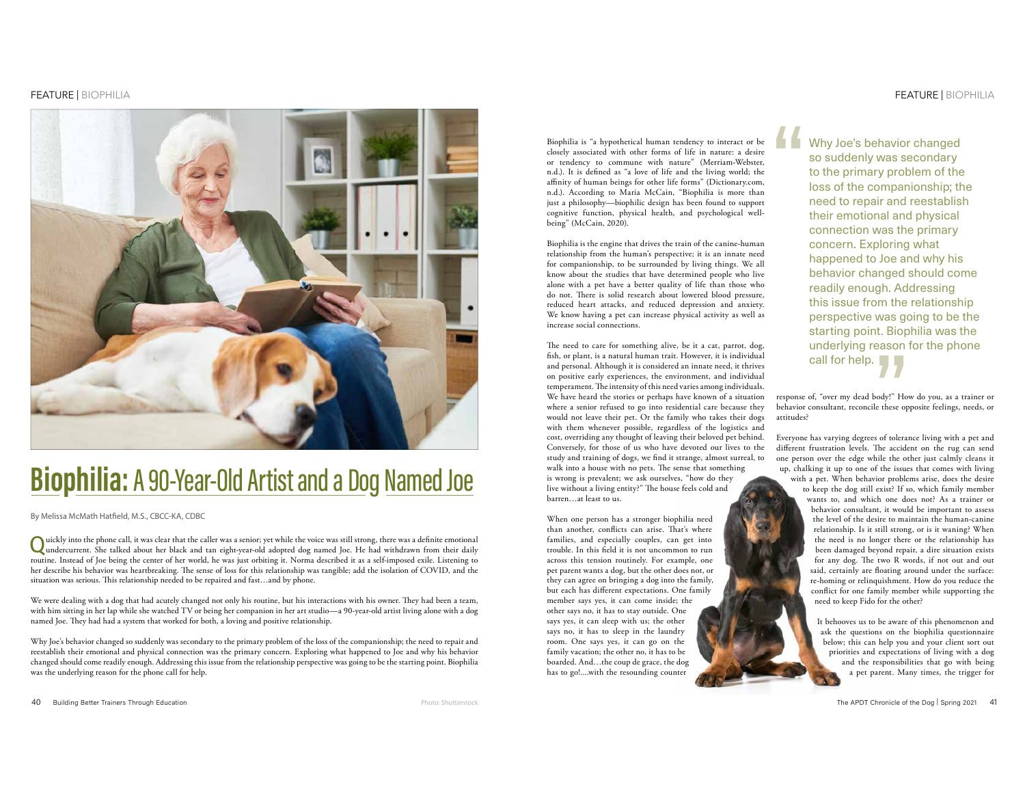# FEATURE | BIOPHILIA



# **Biophilia: A 90-Year-Old Artist and a Dog Named Joe**

By Melissa McMath Hatfield, M.S., CBCC-KA, CDBC

Quickly into the phone call, it was clear that the caller was a senior; yet while the voice was still strong, there was a definite emotional undercurrent. She talked about her black and tan eight-year-old adopted dog named routine. Instead of Joe being the center of her world, he was just orbiting it. Norma described it as a self-imposed exile. Listening to her describe his behavior was heartbreaking. The sense of loss for this relationship was tangible; add the isolation of COVID, and the situation was serious. This relationship needed to be repaired and fast...and by phone.

We were dealing with a dog that had acutely changed not only his routine, but his interactions with his owner. They had been a team, with him sitting in her lap while she watched TV or being her companion in her art studio—a 90-year-old artist living alone with a dog named Joe. They had had a system that worked for both, a loving and positive relationship.

Why Joe's behavior changed so suddenly was secondary to the primary problem of the loss of the companionship; the need to repair and reestablish their emotional and physical connection was the primary concern. Exploring what happened to Joe and why his behavior changed should come readily enough. Addressing this issue from the relationship perspective was going to be the starting point. Biophilia was the underlying reason for the phone call for help.

Biophilia is "a hypothetical human tendency to interact or be closely associated with other forms of life in nature: a desire or tendency to commune with nature" (Merriam-Webster, n.d.). It is defined as "a love of life and the living world; the affinity of human beings for other life forms" (Dictionary.com, n.d.). According to Maria McCain, "Biophilia is more than just a philosophy—biophilic design has been found to support cognitive function, physical health, and psychological wellbeing" (McCain, 2020).

Biophilia is the engine that drives the train of the canine-human relationship from the human's perspective; it is an innate need for companionship, to be surrounded by living things. We all know about the studies that have determined people who live alone with a pet have a better quality of life than those who do not. There is solid research about lowered blood pressure, reduced heart attacks, and reduced depression and anxiety. We know having a pet can increase physical activity as well as increase social connections.

The need to care for something alive, be it a cat, parrot, dog, fish, or plant, is a natural human trait. However, it is individual and personal. Although it is considered an innate need, it thrives on positive early experiences, the environment, and individual temperament. The intensity of this need varies among individuals. We have heard the stories or perhaps have known of a situation where a senior refused to go into residential care because they would not leave their pet. Or the family who takes their dogs with them whenever possible, regardless of the logistics and cost, overriding any thought of leaving their beloved pet behind. Conversely, for those of us who have devoted our lives to the study and training of dogs, we find it strange, almost surreal, to walk into a house with no pets. The sense that something is wrong is prevalent; we ask ourselves, "how do they live without a living entity?" The house feels cold and barren…at least to us.

When one person has a stronger biophilia need than another, conflicts can arise. That's where families, and especially couples, can get into trouble. In this field it is not uncommon to run across this tension routinely. For example, one pet parent wants a dog, but the other does not, or they can agree on bringing a dog into the family, but each has different expectations. One family member says yes, it can come inside; the other says no, it has to stay outside. One says yes, it can sleep with us; the other says no, it has to sleep in the laundry room. One says yes, it can go on the family vacation; the other no, it has to be boarded. And…the coup de grace, the dog has to go!....with the resounding counter

Why Joe's behavior changed so suddenly was secondary to the primary problem of the loss of the companionship; the need to repair and reestablish their emotional and physical connection was the primary concern. Exploring what happened to Joe and why his behavior changed should come readily enough. Addressing this issue from the relationship perspective was going to be the starting point. Biophilia was the underlying reason for the phone call for help.

response of, "over my dead body!" How do you, as a trainer or behavior consultant, reconcile these opposite feelings, needs, or attitudes?

Everyone has varying degrees of tolerance living with a pet and different frustration levels. The accident on the rug can send one person over the edge while the other just calmly cleans it up, chalking it up to one of the issues that comes with living with a pet. When behavior problems arise, does the desire

to keep the dog still exist? If so, which family member wants to, and which one does not? As a trainer or behavior consultant, it would be important to assess the level of the desire to maintain the human-canine relationship. Is it still strong, or is it waning? When the need is no longer there or the relationship has been damaged beyond repair, a dire situation exists for any dog. The two R words, if not out and out said, certainly are floating around under the surface: re-homing or relinquishment. How do you reduce the  $\overline{\text{conflict}}$  for one family member while supporting the need to keep Fido for the other?

It behooves us to be aware of this phenomenon and ask the questions on the biophilia questionnaire below; this can help you and your client sort out priorities and expectations of living with a dog and the responsibilities that go with being a pet parent. Many times, the trigger for



Photo: Shutterstock